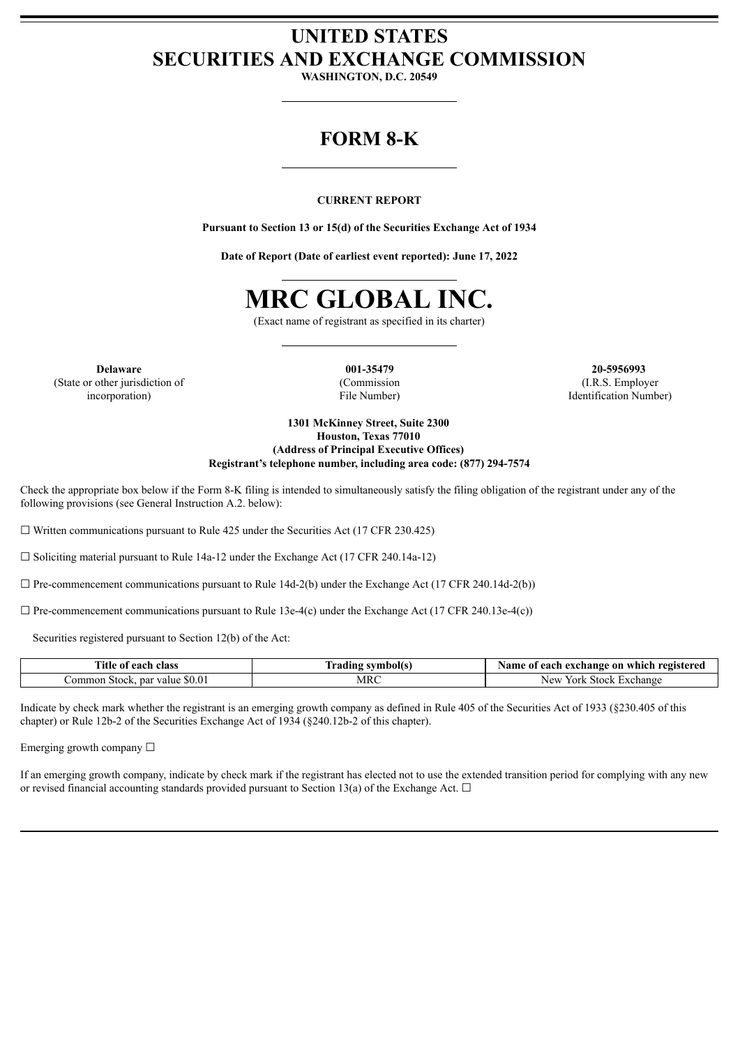# **UNITED STATES SECURITIES AND EXCHANGE COMMISSION**

**WASHINGTON, D.C. 20549**

# **FORM 8-K**

## **CURRENT REPORT**

**Pursuant to Section 13 or 15(d) of the Securities Exchange Act of 1934**

**Date of Report (Date of earliest event reported): June 17, 2022**



(Exact name of registrant as specified in its charter)

**Delaware** (State or other jurisdiction of incorporation)

**001-35479** (Commission File Number)

**20-5956993** (I.R.S. Employer Identification Number)

**1301 McKinney Street, Suite 2300 Houston, Texas 77010 (Address of Principal Executive Offices) Registrant's telephone number, including area code: (877) 294-7574**

Check the appropriate box below if the Form 8-K filing is intended to simultaneously satisfy the filing obligation of the registrant under any of the following provisions (see General Instruction A.2. below):

 $\Box$  Written communications pursuant to Rule 425 under the Securities Act (17 CFR 230.425)

 $\Box$  Soliciting material pursuant to Rule 14a-12 under the Exchange Act (17 CFR 240.14a-12)

 $\Box$  Pre-commencement communications pursuant to Rule 14d-2(b) under the Exchange Act (17 CFR 240.14d-2(b))

 $\Box$  Pre-commencement communications pursuant to Rule 13e-4(c) under the Exchange Act (17 CFR 240.13e-4(c))

Securities registered pursuant to Section 12(b) of the Act:

| Title.<br>class<br>each<br>-01       | symbol(s<br>tradıng | ı registered<br>Name<br>ı exchange on which<br>each<br>$\mathbf{0}$ |
|--------------------------------------|---------------------|---------------------------------------------------------------------|
| Jommon Stock.<br>par<br>value \$0.01 | MRC                 | . Exchange<br>New<br>York<br>Stock                                  |

Indicate by check mark whether the registrant is an emerging growth company as defined in Rule 405 of the Securities Act of 1933 (§230.405 of this chapter) or Rule 12b-2 of the Securities Exchange Act of 1934 (§240.12b-2 of this chapter).

Emerging growth company  $\Box$ 

If an emerging growth company, indicate by check mark if the registrant has elected not to use the extended transition period for complying with any new or revised financial accounting standards provided pursuant to Section 13(a) of the Exchange Act.  $\Box$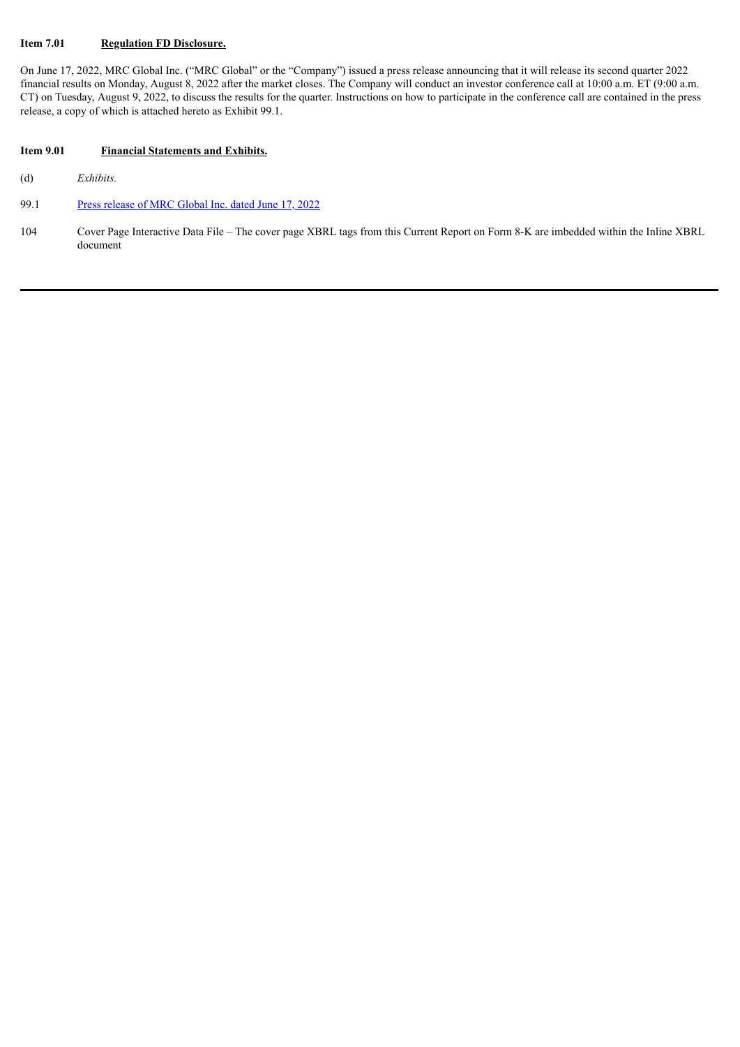#### **Item 7.01 Regulation FD Disclosure.**

On June 17, 2022, MRC Global Inc. ("MRC Global" or the "Company") issued a press release announcing that it will release its second quarter 2022 financial results on Monday, August 8, 2022 after the market closes. The Company will conduct an investor conference call at 10:00 a.m. ET (9:00 a.m. CT) on Tuesday, August 9, 2022, to discuss the results for the quarter. Instructions on how to participate in the conference call are contained in the press release, a copy of which is attached hereto as Exhibit 99.1.

## **Item 9.01 Financial Statements and Exhibits.**

(d) *Exhibits.*

#### 99.1 Press [release](#page-4-0) of MRC Global Inc. dated June 17, 2022

104 Cover Page Interactive Data File – The cover page XBRL tags from this Current Report on Form 8-K are imbedded within the Inline XBRL document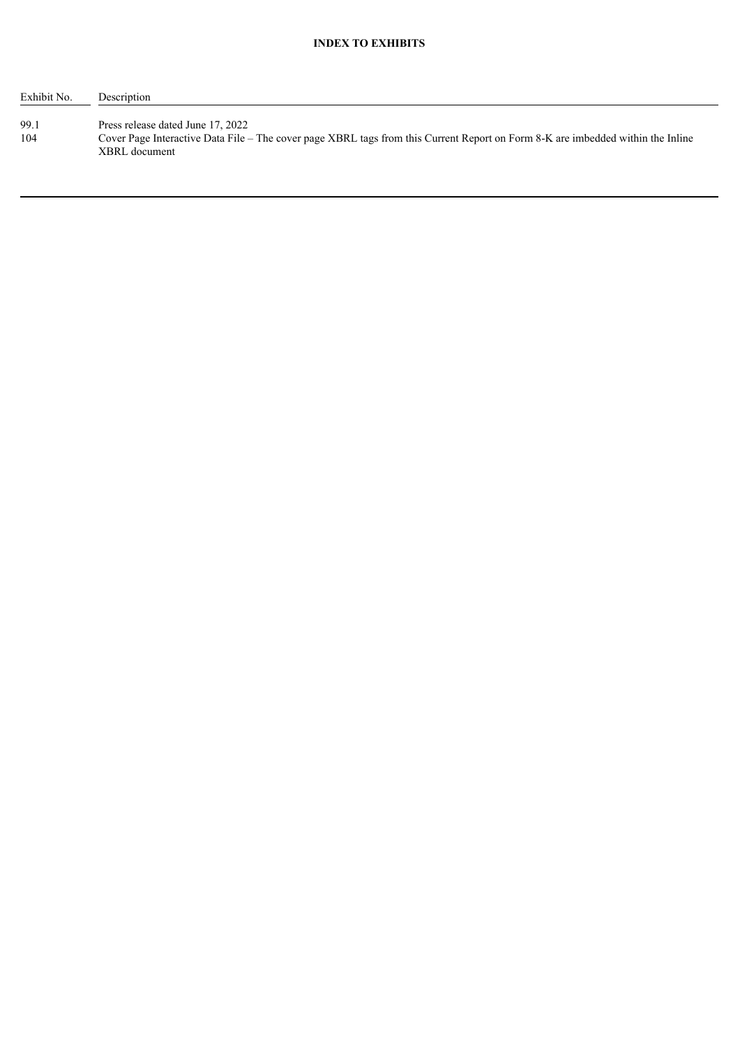| Exhibit No. | Description                                                                                                                                                                           |
|-------------|---------------------------------------------------------------------------------------------------------------------------------------------------------------------------------------|
| 99.1<br>104 | Press release dated June 17, 2022<br>Cover Page Interactive Data File – The cover page XBRL tags from this Current Report on Form 8-K are imbedded within the Inline<br>XBRL document |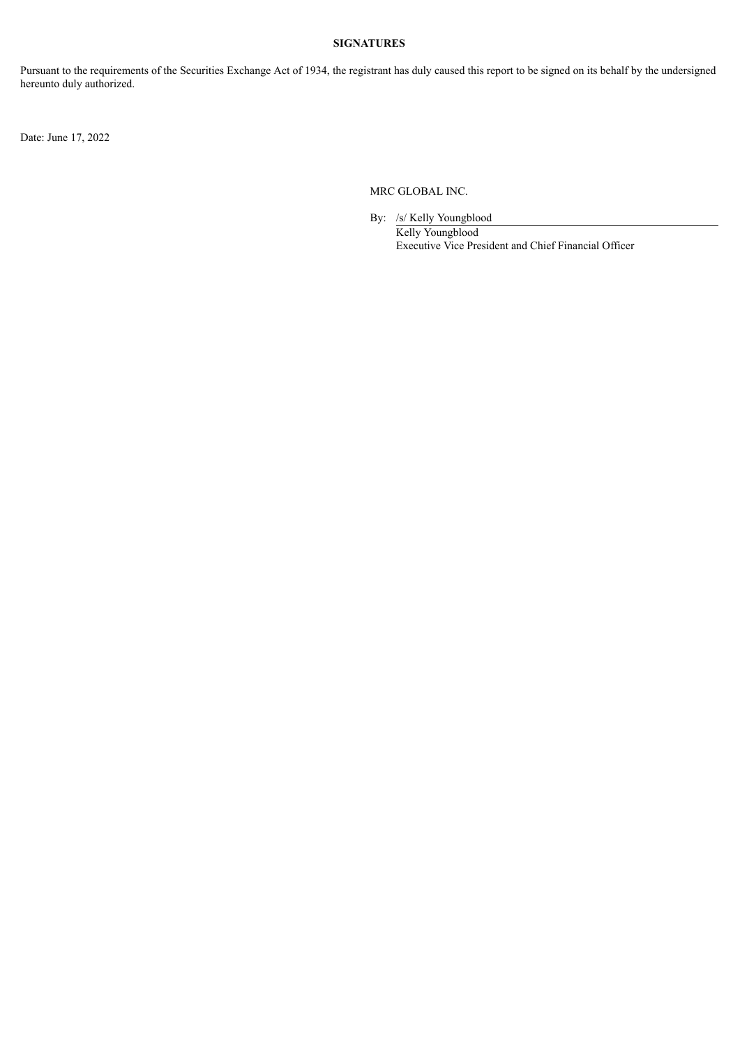# **SIGNATURES**

Pursuant to the requirements of the Securities Exchange Act of 1934, the registrant has duly caused this report to be signed on its behalf by the undersigned hereunto duly authorized.

Date: June 17, 2022

MRC GLOBAL INC.

By: /s/ Kelly Youngblood Kelly Youngblood Executive Vice President and Chief Financial Officer